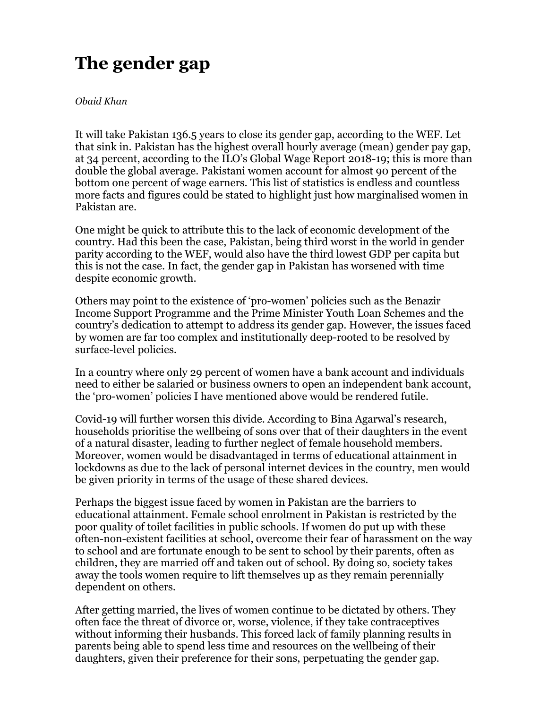## **The gender gap**

*Obaid Khan*

It will take Pakistan 136.5 years to close its gender gap, according to the WEF. Let that sink in. Pakistan has the highest overall hourly average (mean) gender pay gap, at 34 percent, according to the ILO's Global Wage Report 2018-19; this is more than double the global average. Pakistani women account for almost 90 percent of the bottom one percent of wage earners. This list of statistics is endless and countless more facts and figures could be stated to highlight just how marginalised women in Pakistan are.

One might be quick to attribute this to the lack of economic development of the country. Had this been the case, Pakistan, being third worst in the world in gender parity according to the WEF, would also have the third lowest GDP per capita but this is not the case. In fact, the gender gap in Pakistan has worsened with time despite economic growth.

Others may point to the existence of 'pro-women' policies such as the Benazir Income Support Programme and the Prime Minister Youth Loan Schemes and the country's dedication to attempt to address its gender gap. However, the issues faced by women are far too complex and institutionally deep-rooted to be resolved by surface-level policies.

In a country where only 29 percent of women have a bank account and individuals need to either be salaried or business owners to open an independent bank account, the 'pro-women' policies I have mentioned above would be rendered futile.

Covid-19 will further worsen this divide. According to Bina Agarwal's research, households prioritise the wellbeing of sons over that of their daughters in the event of a natural disaster, leading to further neglect of female household members. Moreover, women would be disadvantaged in terms of educational attainment in lockdowns as due to the lack of personal internet devices in the country, men would be given priority in terms of the usage of these shared devices.

Perhaps the biggest issue faced by women in Pakistan are the barriers to educational attainment. Female school enrolment in Pakistan is restricted by the poor quality of toilet facilities in public schools. If women do put up with these often-non-existent facilities at school, overcome their fear of harassment on the way to school and are fortunate enough to be sent to school by their parents, often as children, they are married off and taken out of school. By doing so, society takes away the tools women require to lift themselves up as they remain perennially dependent on others.

After getting married, the lives of women continue to be dictated by others. They often face the threat of divorce or, worse, violence, if they take contraceptives without informing their husbands. This forced lack of family planning results in parents being able to spend less time and resources on the wellbeing of their daughters, given their preference for their sons, perpetuating the gender gap.